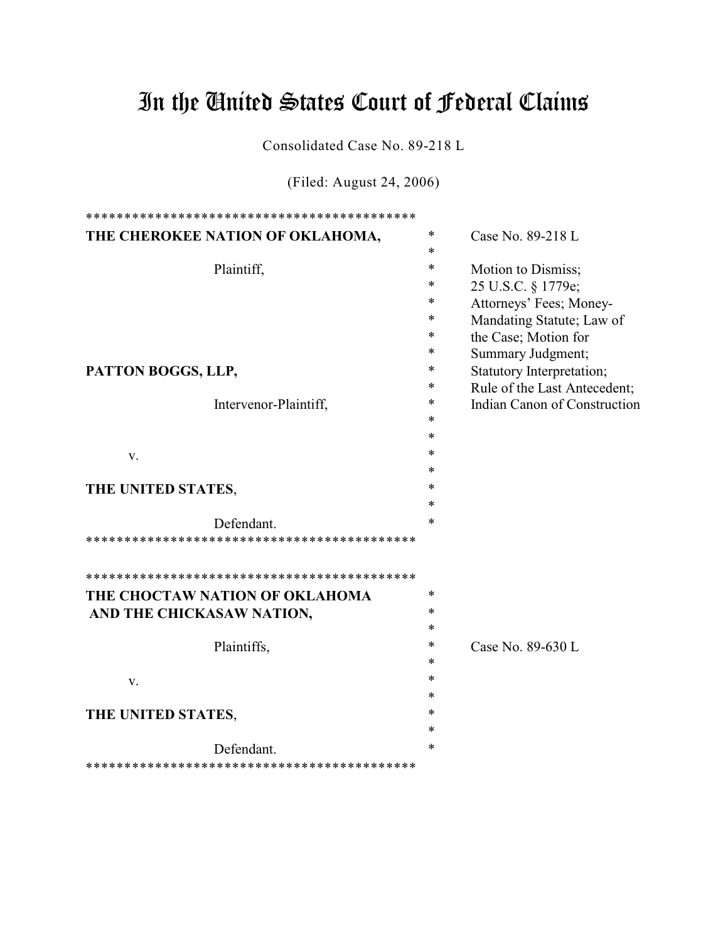# In the United States Court of Federal Claims

Consolidated Case No. 89-218 L

(Filed: August 24, 2006)

| THE CHEROKEE NATION OF OKLAHOMA, | *      | Case No. 89-218 L            |
|----------------------------------|--------|------------------------------|
|                                  | *      |                              |
| Plaintiff,                       | *      | Motion to Dismiss;           |
|                                  | *      | 25 U.S.C. § 1779e;           |
|                                  | *      | Attorneys' Fees; Money-      |
|                                  | *      | Mandating Statute; Law of    |
|                                  | *      | the Case; Motion for         |
|                                  | *      | Summary Judgment;            |
| PATTON BOGGS, LLP,               |        | Statutory Interpretation;    |
|                                  | *      | Rule of the Last Antecedent; |
| Intervenor-Plaintiff,            | *      | Indian Canon of Construction |
|                                  | *      |                              |
|                                  | *      |                              |
| V.                               | *      |                              |
|                                  | *      |                              |
| THE UNITED STATES,               | *      |                              |
|                                  | *      |                              |
| Defendant.                       | *      |                              |
|                                  |        |                              |
|                                  |        |                              |
| THE CHOCTAW NATION OF OKLAHOMA   | *      |                              |
| AND THE CHICKASAW NATION,        | *      |                              |
|                                  | *      |                              |
| Plaintiffs,                      | *      | Case No. 89-630 L            |
|                                  | *      |                              |
| V.                               | *      |                              |
|                                  | *      |                              |
| THE UNITED STATES,               | *      |                              |
|                                  | *      |                              |
| Defendant.                       | $\ast$ |                              |
|                                  |        |                              |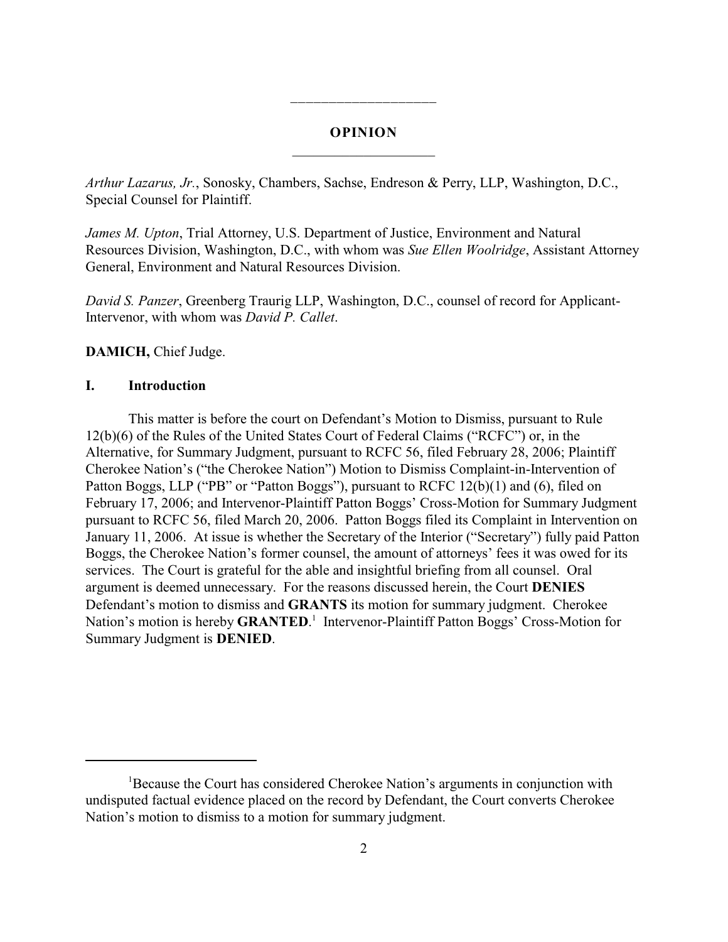# **OPINION** \_\_\_\_\_\_\_\_\_\_\_\_\_\_\_\_\_\_\_\_

\_\_\_\_\_\_\_\_\_\_\_\_\_\_\_\_\_\_\_

*Arthur Lazarus, Jr.*, Sonosky, Chambers, Sachse, Endreson & Perry, LLP, Washington, D.C., Special Counsel for Plaintiff.

*James M. Upton*, Trial Attorney, U.S. Department of Justice, Environment and Natural Resources Division, Washington, D.C., with whom was *Sue Ellen Woolridge*, Assistant Attorney General, Environment and Natural Resources Division.

*David S. Panzer*, Greenberg Traurig LLP, Washington, D.C., counsel of record for Applicant-Intervenor, with whom was *David P. Callet*.

## **DAMICH,** Chief Judge.

## **I. Introduction**

This matter is before the court on Defendant's Motion to Dismiss, pursuant to Rule 12(b)(6) of the Rules of the United States Court of Federal Claims ("RCFC") or, in the Alternative, for Summary Judgment, pursuant to RCFC 56, filed February 28, 2006; Plaintiff Cherokee Nation's ("the Cherokee Nation") Motion to Dismiss Complaint-in-Intervention of Patton Boggs, LLP ("PB" or "Patton Boggs"), pursuant to RCFC 12(b)(1) and (6), filed on February 17, 2006; and Intervenor-Plaintiff Patton Boggs' Cross-Motion for Summary Judgment pursuant to RCFC 56, filed March 20, 2006. Patton Boggs filed its Complaint in Intervention on January 11, 2006. At issue is whether the Secretary of the Interior ("Secretary") fully paid Patton Boggs, the Cherokee Nation's former counsel, the amount of attorneys' fees it was owed for its services. The Court is grateful for the able and insightful briefing from all counsel. Oral argument is deemed unnecessary. For the reasons discussed herein, the Court **DENIES** Defendant's motion to dismiss and **GRANTS** its motion for summary judgment. Cherokee Nation's motion is hereby **GRANTED**.<sup>1</sup> Intervenor-Plaintiff Patton Boggs' Cross-Motion for Summary Judgment is **DENIED**.

<sup>&</sup>lt;sup>1</sup>Because the Court has considered Cherokee Nation's arguments in conjunction with undisputed factual evidence placed on the record by Defendant, the Court converts Cherokee Nation's motion to dismiss to a motion for summary judgment.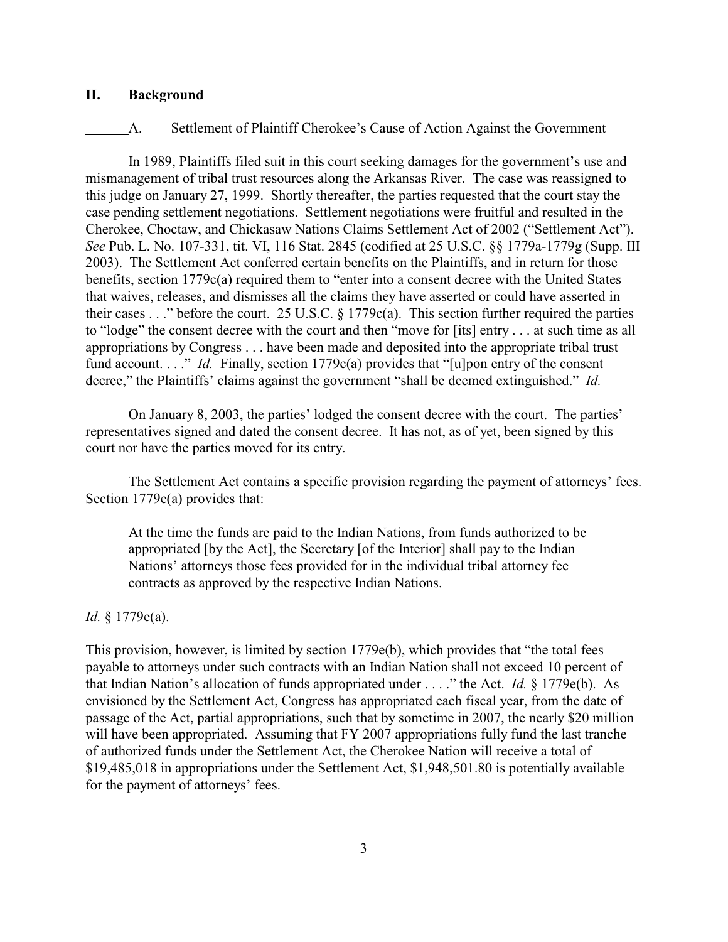## **II. Background**

#### A. Settlement of Plaintiff Cherokee's Cause of Action Against the Government

In 1989, Plaintiffs filed suit in this court seeking damages for the government's use and mismanagement of tribal trust resources along the Arkansas River. The case was reassigned to this judge on January 27, 1999. Shortly thereafter, the parties requested that the court stay the case pending settlement negotiations. Settlement negotiations were fruitful and resulted in the Cherokee, Choctaw, and Chickasaw Nations Claims Settlement Act of 2002 ("Settlement Act"). *See* Pub. L. No. 107-331, tit. VI, 116 Stat. 2845 (codified at 25 U.S.C. §§ 1779a-1779g (Supp. III 2003). The Settlement Act conferred certain benefits on the Plaintiffs, and in return for those benefits, section 1779c(a) required them to "enter into a consent decree with the United States that waives, releases, and dismisses all the claims they have asserted or could have asserted in their cases . . ." before the court. 25 U.S.C. § 1779c(a). This section further required the parties to "lodge" the consent decree with the court and then "move for [its] entry . . . at such time as all appropriations by Congress . . . have been made and deposited into the appropriate tribal trust fund account. . . ." *Id.* Finally, section 1779c(a) provides that "[u]pon entry of the consent decree," the Plaintiffs' claims against the government "shall be deemed extinguished." *Id.*

On January 8, 2003, the parties' lodged the consent decree with the court. The parties' representatives signed and dated the consent decree. It has not, as of yet, been signed by this court nor have the parties moved for its entry.

The Settlement Act contains a specific provision regarding the payment of attorneys' fees. Section 1779e(a) provides that:

At the time the funds are paid to the Indian Nations, from funds authorized to be appropriated [by the Act], the Secretary [of the Interior] shall pay to the Indian Nations' attorneys those fees provided for in the individual tribal attorney fee contracts as approved by the respective Indian Nations.

#### *Id.* § 1779e(a).

This provision, however, is limited by section 1779e(b), which provides that "the total fees payable to attorneys under such contracts with an Indian Nation shall not exceed 10 percent of that Indian Nation's allocation of funds appropriated under . . . ." the Act. *Id.* § 1779e(b). As envisioned by the Settlement Act, Congress has appropriated each fiscal year, from the date of passage of the Act, partial appropriations, such that by sometime in 2007, the nearly \$20 million will have been appropriated. Assuming that FY 2007 appropriations fully fund the last tranche of authorized funds under the Settlement Act, the Cherokee Nation will receive a total of \$19,485,018 in appropriations under the Settlement Act, \$1,948,501.80 is potentially available for the payment of attorneys' fees.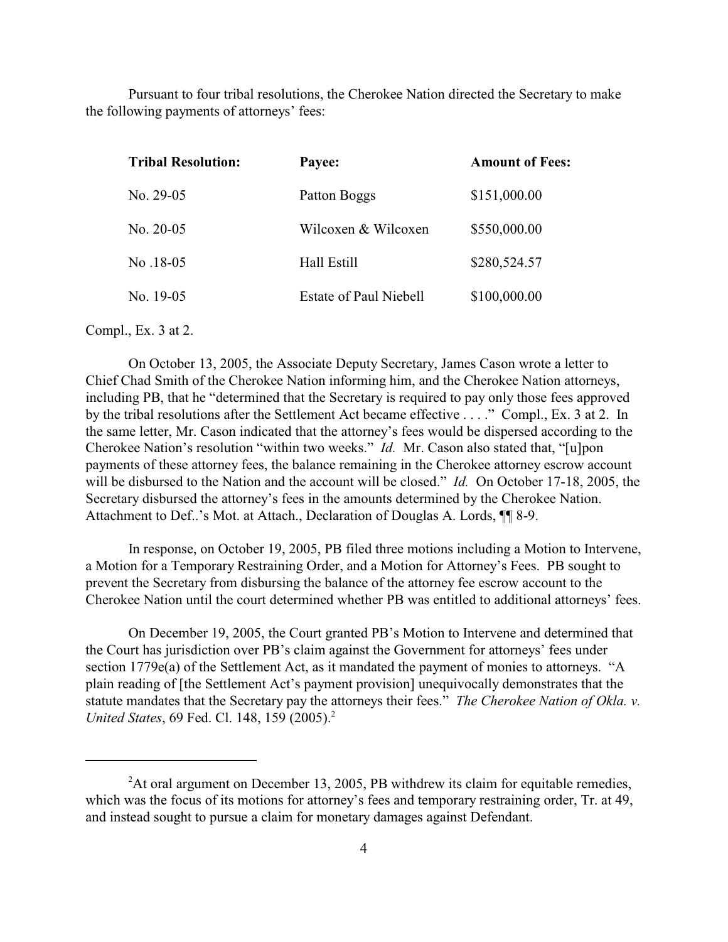Pursuant to four tribal resolutions, the Cherokee Nation directed the Secretary to make the following payments of attorneys' fees:

| <b>Tribal Resolution:</b> | Payee:                        | <b>Amount of Fees:</b> |
|---------------------------|-------------------------------|------------------------|
| No. $29-05$               | Patton Boggs                  | \$151,000.00           |
| No. $20-05$               | Wilcoxen & Wilcoxen           | \$550,000.00           |
| No.18-05                  | Hall Estill                   | \$280,524.57           |
| No. 19-05                 | <b>Estate of Paul Niebell</b> | \$100,000.00           |
|                           |                               |                        |

Compl., Ex. 3 at 2.

On October 13, 2005, the Associate Deputy Secretary, James Cason wrote a letter to Chief Chad Smith of the Cherokee Nation informing him, and the Cherokee Nation attorneys, including PB, that he "determined that the Secretary is required to pay only those fees approved by the tribal resolutions after the Settlement Act became effective . . . ." Compl., Ex. 3 at 2. In the same letter, Mr. Cason indicated that the attorney's fees would be dispersed according to the Cherokee Nation's resolution "within two weeks." *Id.* Mr. Cason also stated that, "[u]pon payments of these attorney fees, the balance remaining in the Cherokee attorney escrow account will be disbursed to the Nation and the account will be closed." *Id.* On October 17-18, 2005, the Secretary disbursed the attorney's fees in the amounts determined by the Cherokee Nation. Attachment to Def..'s Mot. at Attach., Declaration of Douglas A. Lords, ¶¶ 8-9.

In response, on October 19, 2005, PB filed three motions including a Motion to Intervene, a Motion for a Temporary Restraining Order, and a Motion for Attorney's Fees. PB sought to prevent the Secretary from disbursing the balance of the attorney fee escrow account to the Cherokee Nation until the court determined whether PB was entitled to additional attorneys' fees.

On December 19, 2005, the Court granted PB's Motion to Intervene and determined that the Court has jurisdiction over PB's claim against the Government for attorneys' fees under section 1779e(a) of the Settlement Act, as it mandated the payment of monies to attorneys. "A plain reading of [the Settlement Act's payment provision] unequivocally demonstrates that the statute mandates that the Secretary pay the attorneys their fees." *The Cherokee Nation of Okla. v. United States, 69 Fed. Cl. 148, 159 (2005).*<sup>2</sup>

 $A$ t oral argument on December 13, 2005, PB withdrew its claim for equitable remedies, which was the focus of its motions for attorney's fees and temporary restraining order, Tr. at 49, and instead sought to pursue a claim for monetary damages against Defendant.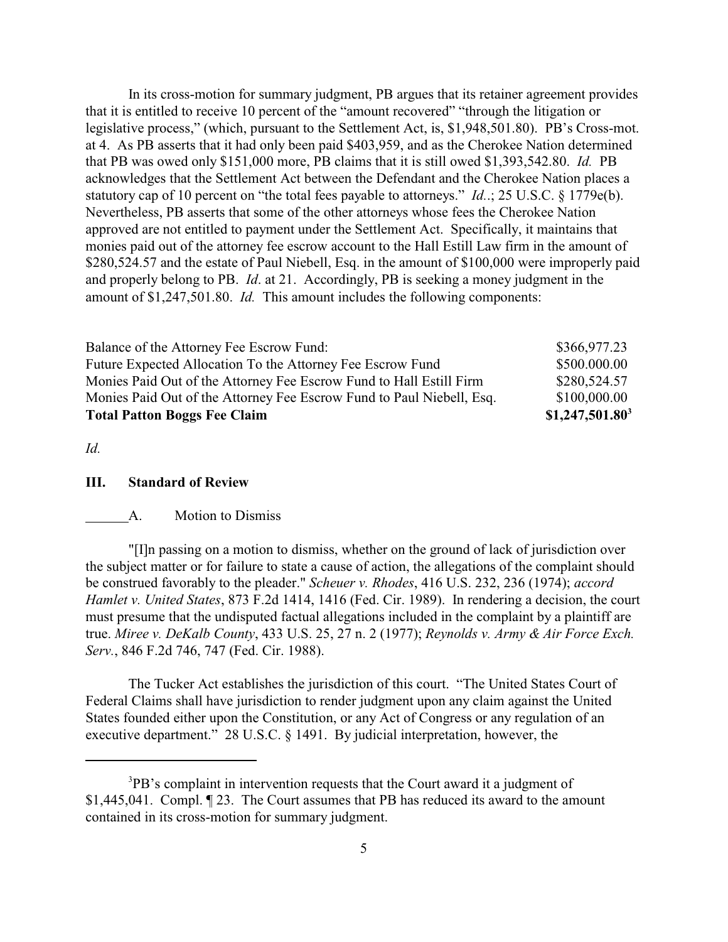In its cross-motion for summary judgment, PB argues that its retainer agreement provides that it is entitled to receive 10 percent of the "amount recovered" "through the litigation or legislative process," (which, pursuant to the Settlement Act, is, \$1,948,501.80). PB's Cross-mot. at 4. As PB asserts that it had only been paid \$403,959, and as the Cherokee Nation determined that PB was owed only \$151,000 more, PB claims that it is still owed \$1,393,542.80. *Id.* PB acknowledges that the Settlement Act between the Defendant and the Cherokee Nation places a statutory cap of 10 percent on "the total fees payable to attorneys." *Id.*.; 25 U.S.C. § 1779e(b). Nevertheless, PB asserts that some of the other attorneys whose fees the Cherokee Nation approved are not entitled to payment under the Settlement Act. Specifically, it maintains that monies paid out of the attorney fee escrow account to the Hall Estill Law firm in the amount of \$280,524.57 and the estate of Paul Niebell, Esq. in the amount of \$100,000 were improperly paid and properly belong to PB. *Id*. at 21. Accordingly, PB is seeking a money judgment in the amount of \$1,247,501.80. *Id.* This amount includes the following components:

| <b>Total Patton Boggs Fee Claim</b>                                   | $$1,247,501.80$ <sup>3</sup> |
|-----------------------------------------------------------------------|------------------------------|
| Monies Paid Out of the Attorney Fee Escrow Fund to Paul Niebell, Esq. | \$100,000.00                 |
| Monies Paid Out of the Attorney Fee Escrow Fund to Hall Estill Firm   | \$280,524.57                 |
| Future Expected Allocation To the Attorney Fee Escrow Fund            | \$500.000.00                 |
| Balance of the Attorney Fee Escrow Fund:                              | \$366,977.23                 |

*Id.*

#### **III. Standard of Review**

#### A. Motion to Dismiss

"[I]n passing on a motion to dismiss, whether on the ground of lack of jurisdiction over the subject matter or for failure to state a cause of action, the allegations of the complaint should be construed favorably to the pleader." *Scheuer v. Rhodes*, 416 U.S. 232, 236 (1974); *accord Hamlet v. United States*, 873 F.2d 1414, 1416 (Fed. Cir. 1989). In rendering a decision, the court must presume that the undisputed factual allegations included in the complaint by a plaintiff are true. *Miree v. DeKalb County*, 433 U.S. 25, 27 n. 2 (1977); *Reynolds v. Army & Air Force Exch. Serv.*, 846 F.2d 746, 747 (Fed. Cir. 1988).

The Tucker Act establishes the jurisdiction of this court. "The United States Court of Federal Claims shall have jurisdiction to render judgment upon any claim against the United States founded either upon the Constitution, or any Act of Congress or any regulation of an executive department." 28 U.S.C. § 1491. By judicial interpretation, however, the

 ${}^{3}$ PB's complaint in intervention requests that the Court award it a judgment of \$1,445,041. Compl. ¶ 23. The Court assumes that PB has reduced its award to the amount contained in its cross-motion for summary judgment.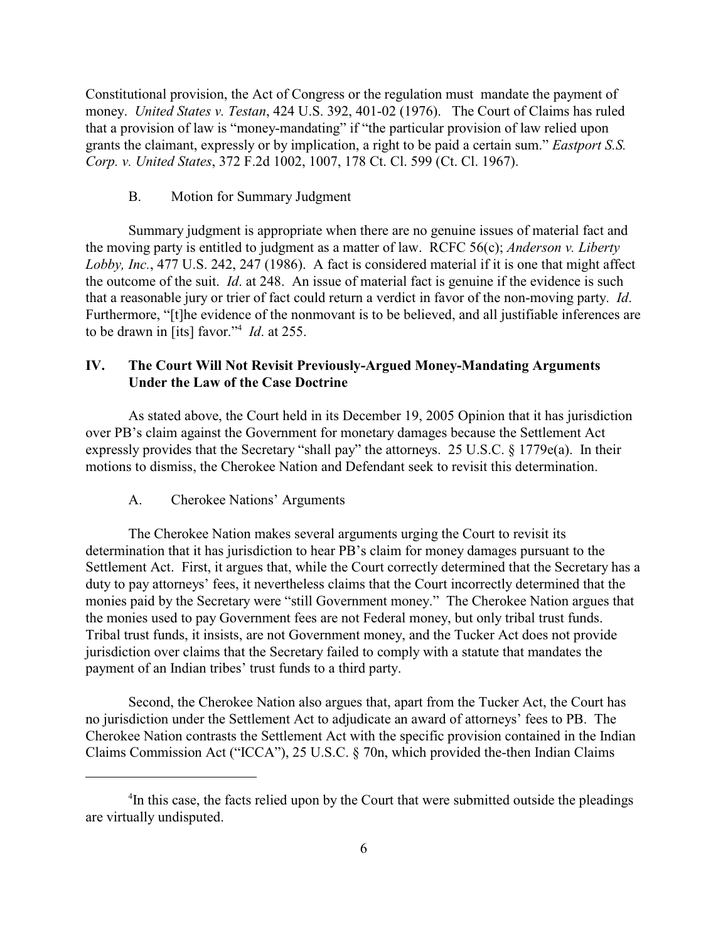Constitutional provision, the Act of Congress or the regulation must mandate the payment of money. *United States v. Testan*, 424 U.S. 392, 401-02 (1976). The Court of Claims has ruled that a provision of law is "money-mandating" if "the particular provision of law relied upon grants the claimant, expressly or by implication, a right to be paid a certain sum." *Eastport S.S. Corp. v. United States*, 372 F.2d 1002, 1007, 178 Ct. Cl. 599 (Ct. Cl. 1967).

## B. Motion for Summary Judgment

Summary judgment is appropriate when there are no genuine issues of material fact and the moving party is entitled to judgment as a matter of law. RCFC 56(c); *Anderson v. Liberty Lobby, Inc.*, 477 U.S. 242, 247 (1986). A fact is considered material if it is one that might affect the outcome of the suit. *Id*. at 248. An issue of material fact is genuine if the evidence is such that a reasonable jury or trier of fact could return a verdict in favor of the non-moving party. *Id*. Furthermore, "[t]he evidence of the nonmovant is to be believed, and all justifiable inferences are to be drawn in [its] favor."<sup>4</sup> *Id.* at 255.

# **IV. The Court Will Not Revisit Previously-Argued Money-Mandating Arguments Under the Law of the Case Doctrine**

As stated above, the Court held in its December 19, 2005 Opinion that it has jurisdiction over PB's claim against the Government for monetary damages because the Settlement Act expressly provides that the Secretary "shall pay" the attorneys. 25 U.S.C. § 1779e(a). In their motions to dismiss, the Cherokee Nation and Defendant seek to revisit this determination.

## A. Cherokee Nations' Arguments

The Cherokee Nation makes several arguments urging the Court to revisit its determination that it has jurisdiction to hear PB's claim for money damages pursuant to the Settlement Act. First, it argues that, while the Court correctly determined that the Secretary has a duty to pay attorneys' fees, it nevertheless claims that the Court incorrectly determined that the monies paid by the Secretary were "still Government money." The Cherokee Nation argues that the monies used to pay Government fees are not Federal money, but only tribal trust funds. Tribal trust funds, it insists, are not Government money, and the Tucker Act does not provide jurisdiction over claims that the Secretary failed to comply with a statute that mandates the payment of an Indian tribes' trust funds to a third party.

Second, the Cherokee Nation also argues that, apart from the Tucker Act, the Court has no jurisdiction under the Settlement Act to adjudicate an award of attorneys' fees to PB. The Cherokee Nation contrasts the Settlement Act with the specific provision contained in the Indian Claims Commission Act ("ICCA"), 25 U.S.C. § 70n, which provided the-then Indian Claims

 $\rm{^{4}In}$  this case, the facts relied upon by the Court that were submitted outside the pleadings are virtually undisputed.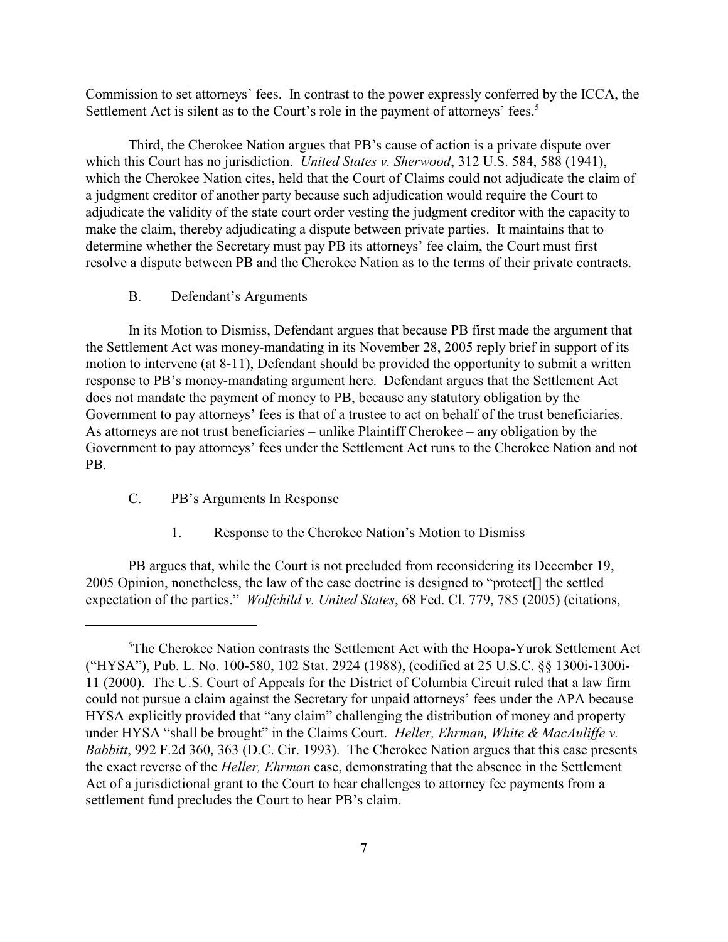Commission to set attorneys' fees. In contrast to the power expressly conferred by the ICCA, the Settlement Act is silent as to the Court's role in the payment of attorneys' fees.<sup>5</sup>

Third, the Cherokee Nation argues that PB's cause of action is a private dispute over which this Court has no jurisdiction. *United States v. Sherwood*, 312 U.S. 584, 588 (1941), which the Cherokee Nation cites, held that the Court of Claims could not adjudicate the claim of a judgment creditor of another party because such adjudication would require the Court to adjudicate the validity of the state court order vesting the judgment creditor with the capacity to make the claim, thereby adjudicating a dispute between private parties. It maintains that to determine whether the Secretary must pay PB its attorneys' fee claim, the Court must first resolve a dispute between PB and the Cherokee Nation as to the terms of their private contracts.

## B. Defendant's Arguments

In its Motion to Dismiss, Defendant argues that because PB first made the argument that the Settlement Act was money-mandating in its November 28, 2005 reply brief in support of its motion to intervene (at 8-11), Defendant should be provided the opportunity to submit a written response to PB's money-mandating argument here. Defendant argues that the Settlement Act does not mandate the payment of money to PB, because any statutory obligation by the Government to pay attorneys' fees is that of a trustee to act on behalf of the trust beneficiaries. As attorneys are not trust beneficiaries – unlike Plaintiff Cherokee – any obligation by the Government to pay attorneys' fees under the Settlement Act runs to the Cherokee Nation and not PB.

- C. PB's Arguments In Response
	- 1. Response to the Cherokee Nation's Motion to Dismiss

PB argues that, while the Court is not precluded from reconsidering its December 19, 2005 Opinion, nonetheless, the law of the case doctrine is designed to "protect[] the settled expectation of the parties." *Wolfchild v. United States*, 68 Fed. Cl. 779, 785 (2005) (citations,

<sup>&</sup>lt;sup>5</sup>The Cherokee Nation contrasts the Settlement Act with the Hoopa-Yurok Settlement Act ("HYSA"), Pub. L. No. 100-580, 102 Stat. 2924 (1988), (codified at 25 U.S.C. §§ 1300i-1300i-11 (2000). The U.S. Court of Appeals for the District of Columbia Circuit ruled that a law firm could not pursue a claim against the Secretary for unpaid attorneys' fees under the APA because HYSA explicitly provided that "any claim" challenging the distribution of money and property under HYSA "shall be brought" in the Claims Court. *Heller, Ehrman, White & MacAuliffe v. Babbitt*, 992 F.2d 360, 363 (D.C. Cir. 1993). The Cherokee Nation argues that this case presents the exact reverse of the *Heller, Ehrman* case, demonstrating that the absence in the Settlement Act of a jurisdictional grant to the Court to hear challenges to attorney fee payments from a settlement fund precludes the Court to hear PB's claim.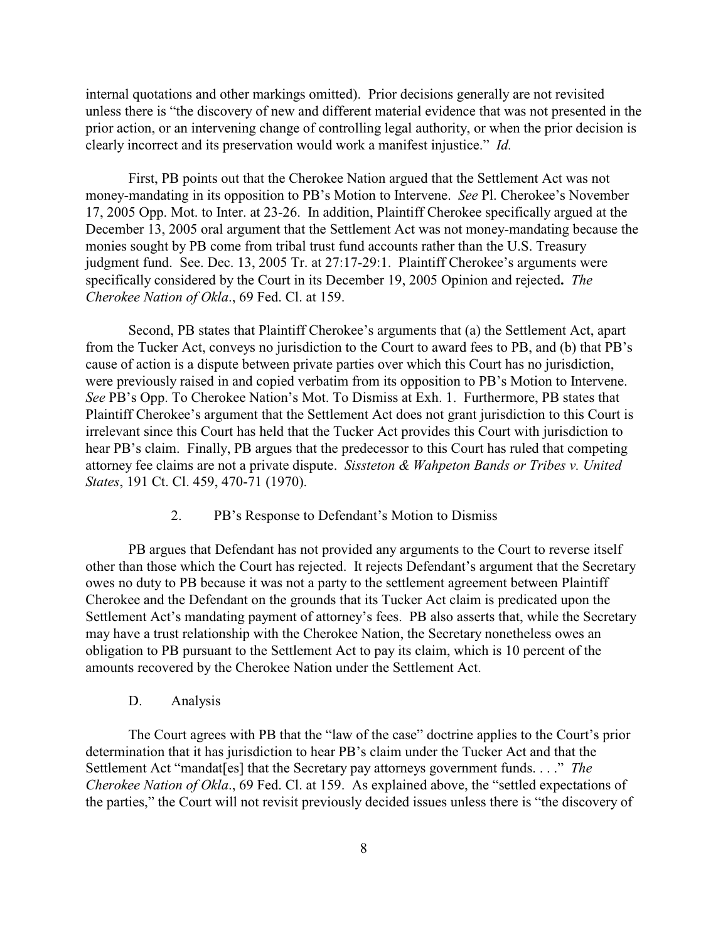internal quotations and other markings omitted). Prior decisions generally are not revisited unless there is "the discovery of new and different material evidence that was not presented in the prior action, or an intervening change of controlling legal authority, or when the prior decision is clearly incorrect and its preservation would work a manifest injustice." *Id.*

First, PB points out that the Cherokee Nation argued that the Settlement Act was not money-mandating in its opposition to PB's Motion to Intervene. *See* Pl. Cherokee's November 17, 2005 Opp. Mot. to Inter. at 23-26. In addition, Plaintiff Cherokee specifically argued at the December 13, 2005 oral argument that the Settlement Act was not money-mandating because the monies sought by PB come from tribal trust fund accounts rather than the U.S. Treasury judgment fund. See. Dec. 13, 2005 Tr. at 27:17-29:1. Plaintiff Cherokee's arguments were specifically considered by the Court in its December 19, 2005 Opinion and rejected**.** *The Cherokee Nation of Okla*., 69 Fed. Cl. at 159.

Second, PB states that Plaintiff Cherokee's arguments that (a) the Settlement Act, apart from the Tucker Act, conveys no jurisdiction to the Court to award fees to PB, and (b) that PB's cause of action is a dispute between private parties over which this Court has no jurisdiction, were previously raised in and copied verbatim from its opposition to PB's Motion to Intervene. *See* PB's Opp. To Cherokee Nation's Mot. To Dismiss at Exh. 1. Furthermore, PB states that Plaintiff Cherokee's argument that the Settlement Act does not grant jurisdiction to this Court is irrelevant since this Court has held that the Tucker Act provides this Court with jurisdiction to hear PB's claim. Finally, PB argues that the predecessor to this Court has ruled that competing attorney fee claims are not a private dispute. *Sissteton & Wahpeton Bands or Tribes v. United States*, 191 Ct. Cl. 459, 470-71 (1970).

#### 2. PB's Response to Defendant's Motion to Dismiss

PB argues that Defendant has not provided any arguments to the Court to reverse itself other than those which the Court has rejected. It rejects Defendant's argument that the Secretary owes no duty to PB because it was not a party to the settlement agreement between Plaintiff Cherokee and the Defendant on the grounds that its Tucker Act claim is predicated upon the Settlement Act's mandating payment of attorney's fees. PB also asserts that, while the Secretary may have a trust relationship with the Cherokee Nation, the Secretary nonetheless owes an obligation to PB pursuant to the Settlement Act to pay its claim, which is 10 percent of the amounts recovered by the Cherokee Nation under the Settlement Act.

D. Analysis

The Court agrees with PB that the "law of the case" doctrine applies to the Court's prior determination that it has jurisdiction to hear PB's claim under the Tucker Act and that the Settlement Act "mandat[es] that the Secretary pay attorneys government funds. . . ." *The Cherokee Nation of Okla*., 69 Fed. Cl. at 159. As explained above, the "settled expectations of the parties," the Court will not revisit previously decided issues unless there is "the discovery of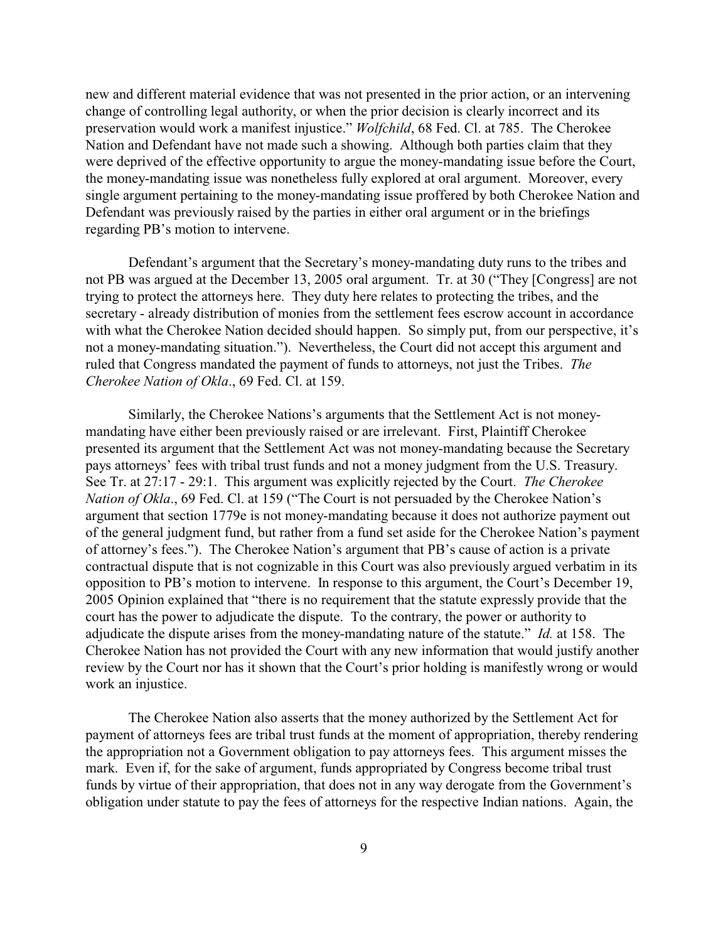new and different material evidence that was not presented in the prior action, or an intervening change of controlling legal authority, or when the prior decision is clearly incorrect and its preservation would work a manifest injustice." *Wolfchild*, 68 Fed. Cl. at 785. The Cherokee Nation and Defendant have not made such a showing. Although both parties claim that they were deprived of the effective opportunity to argue the money-mandating issue before the Court, the money-mandating issue was nonetheless fully explored at oral argument. Moreover, every single argument pertaining to the money-mandating issue proffered by both Cherokee Nation and Defendant was previously raised by the parties in either oral argument or in the briefings regarding PB's motion to intervene.

Defendant's argument that the Secretary's money-mandating duty runs to the tribes and not PB was argued at the December 13, 2005 oral argument. Tr. at 30 ("They [Congress] are not trying to protect the attorneys here. They duty here relates to protecting the tribes, and the secretary - already distribution of monies from the settlement fees escrow account in accordance with what the Cherokee Nation decided should happen. So simply put, from our perspective, it's not a money-mandating situation."). Nevertheless, the Court did not accept this argument and ruled that Congress mandated the payment of funds to attorneys, not just the Tribes. *The Cherokee Nation of Okla*., 69 Fed. Cl. at 159.

Similarly, the Cherokee Nations's arguments that the Settlement Act is not moneymandating have either been previously raised or are irrelevant. First, Plaintiff Cherokee presented its argument that the Settlement Act was not money-mandating because the Secretary pays attorneys' fees with tribal trust funds and not a money judgment from the U.S. Treasury. See Tr. at 27:17 - 29:1. This argument was explicitly rejected by the Court. *The Cherokee Nation of Okla.*, 69 Fed. Cl. at 159 ("The Court is not persuaded by the Cherokee Nation's argument that section 1779e is not money-mandating because it does not authorize payment out of the general judgment fund, but rather from a fund set aside for the Cherokee Nation's payment of attorney's fees."). The Cherokee Nation's argument that PB's cause of action is a private contractual dispute that is not cognizable in this Court was also previously argued verbatim in its opposition to PB's motion to intervene. In response to this argument, the Court's December 19, 2005 Opinion explained that "there is no requirement that the statute expressly provide that the court has the power to adjudicate the dispute. To the contrary, the power or authority to adjudicate the dispute arises from the money-mandating nature of the statute." *Id.* at 158. The Cherokee Nation has not provided the Court with any new information that would justify another review by the Court nor has it shown that the Court's prior holding is manifestly wrong or would work an injustice.

The Cherokee Nation also asserts that the money authorized by the Settlement Act for payment of attorneys fees are tribal trust funds at the moment of appropriation, thereby rendering the appropriation not a Government obligation to pay attorneys fees. This argument misses the mark. Even if, for the sake of argument, funds appropriated by Congress become tribal trust funds by virtue of their appropriation, that does not in any way derogate from the Government's obligation under statute to pay the fees of attorneys for the respective Indian nations. Again, the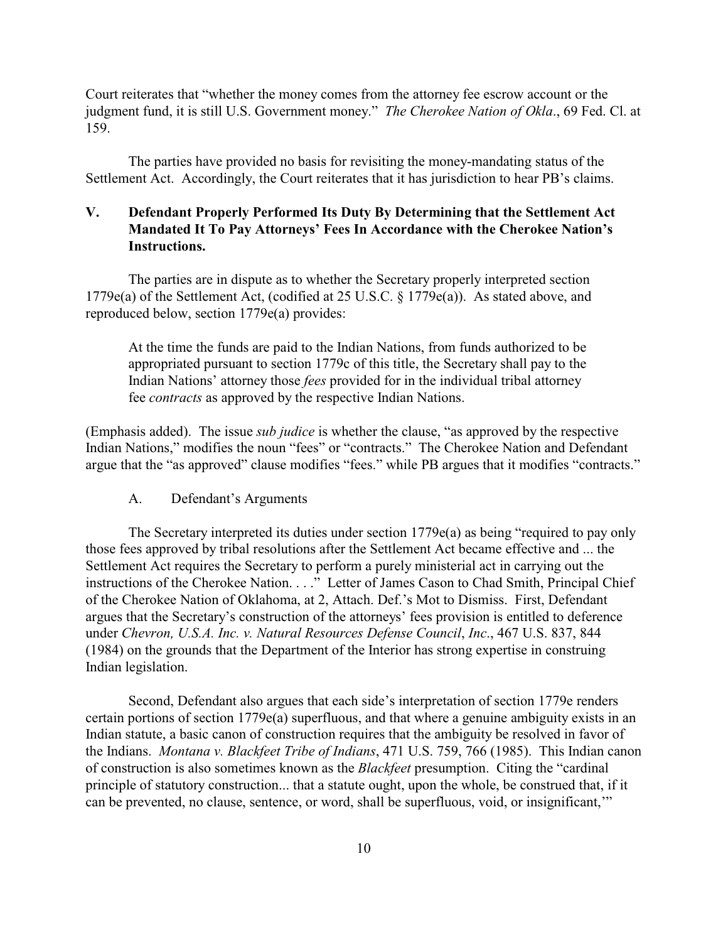Court reiterates that "whether the money comes from the attorney fee escrow account or the judgment fund, it is still U.S. Government money." *The Cherokee Nation of Okla*., 69 Fed. Cl. at 159.

The parties have provided no basis for revisiting the money-mandating status of the Settlement Act. Accordingly, the Court reiterates that it has jurisdiction to hear PB's claims.

# **V. Defendant Properly Performed Its Duty By Determining that the Settlement Act Mandated It To Pay Attorneys' Fees In Accordance with the Cherokee Nation's Instructions.**

The parties are in dispute as to whether the Secretary properly interpreted section 1779e(a) of the Settlement Act, (codified at 25 U.S.C. § 1779e(a)). As stated above, and reproduced below, section 1779e(a) provides:

At the time the funds are paid to the Indian Nations, from funds authorized to be appropriated pursuant to section 1779c of this title, the Secretary shall pay to the Indian Nations' attorney those *fees* provided for in the individual tribal attorney fee *contracts* as approved by the respective Indian Nations.

(Emphasis added). The issue *sub judice* is whether the clause, "as approved by the respective Indian Nations," modifies the noun "fees" or "contracts." The Cherokee Nation and Defendant argue that the "as approved" clause modifies "fees." while PB argues that it modifies "contracts."

A. Defendant's Arguments

The Secretary interpreted its duties under section 1779e(a) as being "required to pay only those fees approved by tribal resolutions after the Settlement Act became effective and ... the Settlement Act requires the Secretary to perform a purely ministerial act in carrying out the instructions of the Cherokee Nation. . . ." Letter of James Cason to Chad Smith, Principal Chief of the Cherokee Nation of Oklahoma, at 2, Attach. Def.'s Mot to Dismiss. First, Defendant argues that the Secretary's construction of the attorneys' fees provision is entitled to deference under *Chevron, U.S.A. Inc. v. Natural Resources Defense Council*, *Inc*., 467 U.S. 837, 844 (1984) on the grounds that the Department of the Interior has strong expertise in construing Indian legislation.

Second, Defendant also argues that each side's interpretation of section 1779e renders certain portions of section 1779e(a) superfluous, and that where a genuine ambiguity exists in an Indian statute, a basic canon of construction requires that the ambiguity be resolved in favor of the Indians. *Montana v. Blackfeet Tribe of Indians*, 471 U.S. 759, 766 (1985). This Indian canon of construction is also sometimes known as the *Blackfeet* presumption. Citing the "cardinal principle of statutory construction... that a statute ought, upon the whole, be construed that, if it can be prevented, no clause, sentence, or word, shall be superfluous, void, or insignificant,'"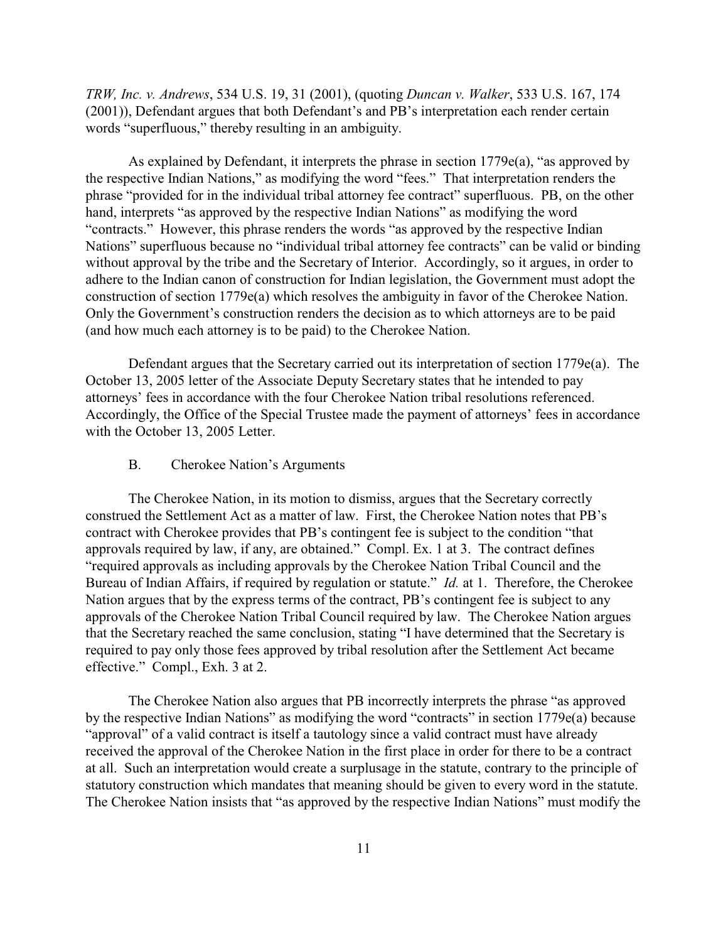*TRW, Inc. v. Andrews*, 534 U.S. 19, 31 (2001), (quoting *Duncan v. Walker*, 533 U.S. 167, 174 (2001)), Defendant argues that both Defendant's and PB's interpretation each render certain words "superfluous," thereby resulting in an ambiguity.

As explained by Defendant, it interprets the phrase in section  $1779e(a)$ , "as approved by the respective Indian Nations," as modifying the word "fees." That interpretation renders the phrase "provided for in the individual tribal attorney fee contract" superfluous. PB, on the other hand, interprets "as approved by the respective Indian Nations" as modifying the word "contracts." However, this phrase renders the words "as approved by the respective Indian Nations" superfluous because no "individual tribal attorney fee contracts" can be valid or binding without approval by the tribe and the Secretary of Interior. Accordingly, so it argues, in order to adhere to the Indian canon of construction for Indian legislation, the Government must adopt the construction of section 1779e(a) which resolves the ambiguity in favor of the Cherokee Nation. Only the Government's construction renders the decision as to which attorneys are to be paid (and how much each attorney is to be paid) to the Cherokee Nation.

Defendant argues that the Secretary carried out its interpretation of section 1779e(a). The October 13, 2005 letter of the Associate Deputy Secretary states that he intended to pay attorneys' fees in accordance with the four Cherokee Nation tribal resolutions referenced. Accordingly, the Office of the Special Trustee made the payment of attorneys' fees in accordance with the October 13, 2005 Letter.

## B. Cherokee Nation's Arguments

The Cherokee Nation, in its motion to dismiss, argues that the Secretary correctly construed the Settlement Act as a matter of law. First, the Cherokee Nation notes that PB's contract with Cherokee provides that PB's contingent fee is subject to the condition "that approvals required by law, if any, are obtained." Compl. Ex. 1 at 3. The contract defines "required approvals as including approvals by the Cherokee Nation Tribal Council and the Bureau of Indian Affairs, if required by regulation or statute." *Id.* at 1. Therefore, the Cherokee Nation argues that by the express terms of the contract, PB's contingent fee is subject to any approvals of the Cherokee Nation Tribal Council required by law. The Cherokee Nation argues that the Secretary reached the same conclusion, stating "I have determined that the Secretary is required to pay only those fees approved by tribal resolution after the Settlement Act became effective." Compl., Exh. 3 at 2.

The Cherokee Nation also argues that PB incorrectly interprets the phrase "as approved by the respective Indian Nations" as modifying the word "contracts" in section 1779e(a) because "approval" of a valid contract is itself a tautology since a valid contract must have already received the approval of the Cherokee Nation in the first place in order for there to be a contract at all. Such an interpretation would create a surplusage in the statute, contrary to the principle of statutory construction which mandates that meaning should be given to every word in the statute. The Cherokee Nation insists that "as approved by the respective Indian Nations" must modify the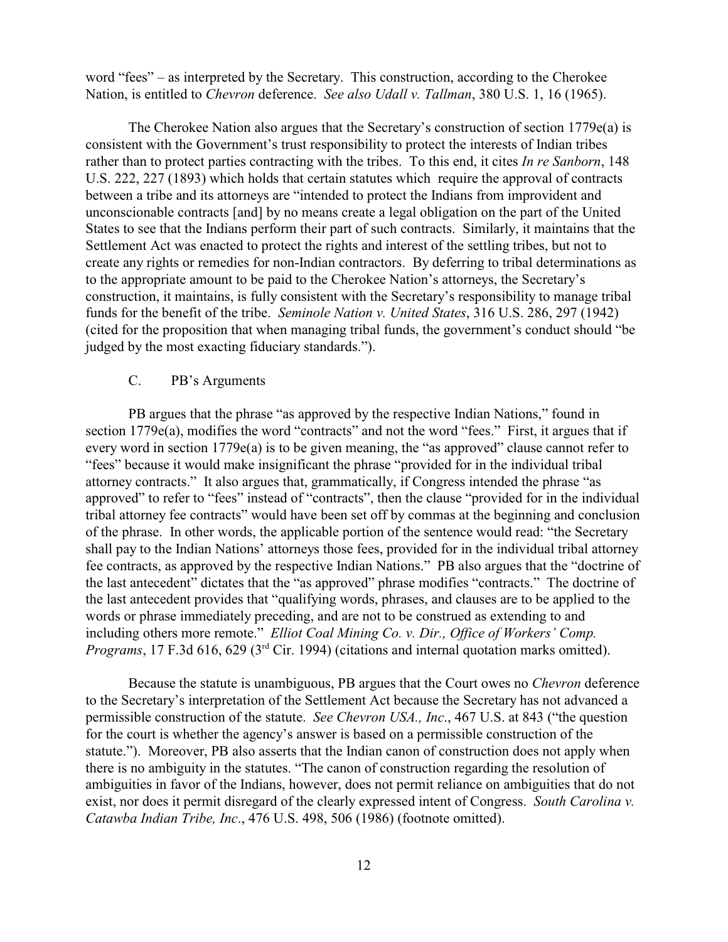word "fees" – as interpreted by the Secretary. This construction, according to the Cherokee Nation, is entitled to *Chevron* deference. *See also Udall v. Tallman*, 380 U.S. 1, 16 (1965).

The Cherokee Nation also argues that the Secretary's construction of section 1779e(a) is consistent with the Government's trust responsibility to protect the interests of Indian tribes rather than to protect parties contracting with the tribes. To this end, it cites *In re Sanborn*, 148 U.S. 222, 227 (1893) which holds that certain statutes which require the approval of contracts between a tribe and its attorneys are "intended to protect the Indians from improvident and unconscionable contracts [and] by no means create a legal obligation on the part of the United States to see that the Indians perform their part of such contracts. Similarly, it maintains that the Settlement Act was enacted to protect the rights and interest of the settling tribes, but not to create any rights or remedies for non-Indian contractors. By deferring to tribal determinations as to the appropriate amount to be paid to the Cherokee Nation's attorneys, the Secretary's construction, it maintains, is fully consistent with the Secretary's responsibility to manage tribal funds for the benefit of the tribe. *Seminole Nation v. United States*, 316 U.S. 286, 297 (1942) (cited for the proposition that when managing tribal funds, the government's conduct should "be judged by the most exacting fiduciary standards.").

## C. PB's Arguments

PB argues that the phrase "as approved by the respective Indian Nations," found in section 1779e(a), modifies the word "contracts" and not the word "fees." First, it argues that if every word in section 1779e(a) is to be given meaning, the "as approved" clause cannot refer to "fees" because it would make insignificant the phrase "provided for in the individual tribal attorney contracts." It also argues that, grammatically, if Congress intended the phrase "as approved" to refer to "fees" instead of "contracts", then the clause "provided for in the individual tribal attorney fee contracts" would have been set off by commas at the beginning and conclusion of the phrase. In other words, the applicable portion of the sentence would read: "the Secretary shall pay to the Indian Nations' attorneys those fees, provided for in the individual tribal attorney fee contracts, as approved by the respective Indian Nations." PB also argues that the "doctrine of the last antecedent" dictates that the "as approved" phrase modifies "contracts." The doctrine of the last antecedent provides that "qualifying words, phrases, and clauses are to be applied to the words or phrase immediately preceding, and are not to be construed as extending to and including others more remote." *Elliot Coal Mining Co. v. Dir., Office of Workers' Comp. Programs*, 17 F.3d 616, 629 (3<sup>rd</sup> Cir. 1994) (citations and internal quotation marks omitted).

Because the statute is unambiguous, PB argues that the Court owes no *Chevron* deference to the Secretary's interpretation of the Settlement Act because the Secretary has not advanced a permissible construction of the statute. *See Chevron USA., Inc*., 467 U.S. at 843 ("the question for the court is whether the agency's answer is based on a permissible construction of the statute."). Moreover, PB also asserts that the Indian canon of construction does not apply when there is no ambiguity in the statutes. "The canon of construction regarding the resolution of ambiguities in favor of the Indians, however, does not permit reliance on ambiguities that do not exist, nor does it permit disregard of the clearly expressed intent of Congress. *South Carolina v. Catawba Indian Tribe, Inc*., 476 U.S. 498, 506 (1986) (footnote omitted).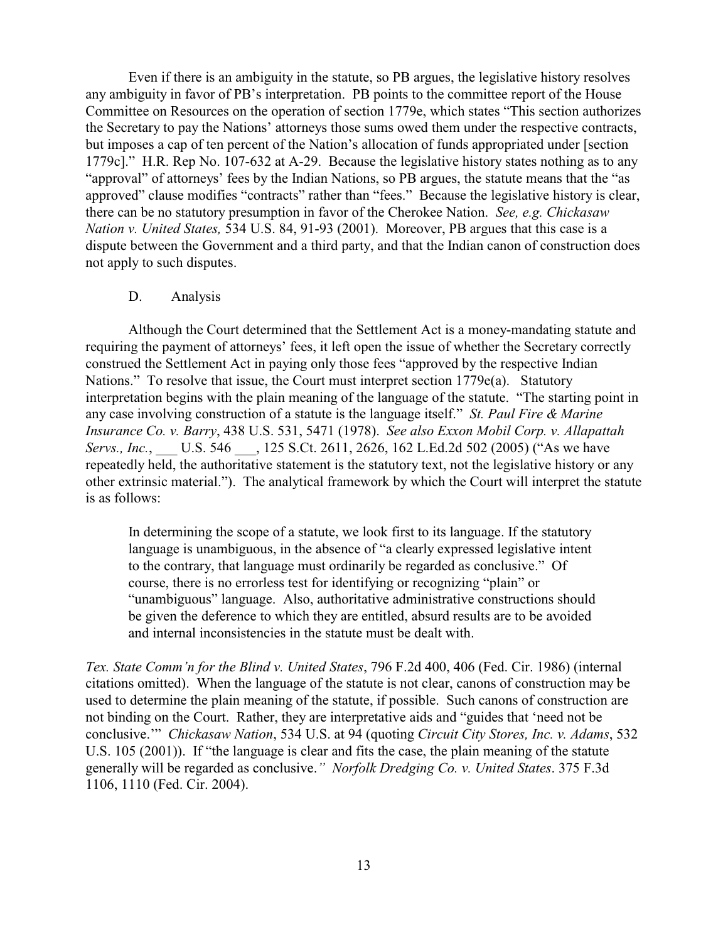Even if there is an ambiguity in the statute, so PB argues, the legislative history resolves any ambiguity in favor of PB's interpretation. PB points to the committee report of the House Committee on Resources on the operation of section 1779e, which states "This section authorizes the Secretary to pay the Nations' attorneys those sums owed them under the respective contracts, but imposes a cap of ten percent of the Nation's allocation of funds appropriated under [section 1779c]." H.R. Rep No. 107-632 at A-29. Because the legislative history states nothing as to any "approval" of attorneys' fees by the Indian Nations, so PB argues, the statute means that the "as approved" clause modifies "contracts" rather than "fees." Because the legislative history is clear, there can be no statutory presumption in favor of the Cherokee Nation. *See, e.g. Chickasaw Nation v. United States,* 534 U.S. 84, 91-93 (2001). Moreover, PB argues that this case is a dispute between the Government and a third party, and that the Indian canon of construction does not apply to such disputes.

#### D. Analysis

Although the Court determined that the Settlement Act is a money-mandating statute and requiring the payment of attorneys' fees, it left open the issue of whether the Secretary correctly construed the Settlement Act in paying only those fees "approved by the respective Indian Nations." To resolve that issue, the Court must interpret section 1779e(a). Statutory interpretation begins with the plain meaning of the language of the statute. "The starting point in any case involving construction of a statute is the language itself." *St. Paul Fire & Marine Insurance Co. v. Barry*, 438 U.S. 531, 5471 (1978). *See also Exxon Mobil Corp. v. Allapattah Servs., Inc.*, \_\_\_ U.S. 546 \_\_\_, 125 S.Ct. 2611, 2626, 162 L.Ed.2d 502 (2005) ("As we have repeatedly held, the authoritative statement is the statutory text, not the legislative history or any other extrinsic material."). The analytical framework by which the Court will interpret the statute is as follows:

In determining the scope of a statute, we look first to its language. If the statutory language is unambiguous, in the absence of "a clearly expressed legislative intent to the contrary, that language must ordinarily be regarded as conclusive." Of course, there is no errorless test for identifying or recognizing "plain" or "unambiguous" language. Also, authoritative administrative constructions should be given the deference to which they are entitled, absurd results are to be avoided and internal inconsistencies in the statute must be dealt with.

*Tex. State Comm'n for the Blind v. United States*, 796 F.2d 400, 406 (Fed. Cir. 1986) (internal citations omitted). When the language of the statute is not clear, canons of construction may be used to determine the plain meaning of the statute, if possible. Such canons of construction are not binding on the Court. Rather, they are interpretative aids and "guides that 'need not be conclusive.'" *Chickasaw Nation*, 534 U.S. at 94 (quoting *Circuit City Stores, Inc. v. Adams*, 532 U.S. 105 (2001)). If "the language is clear and fits the case, the plain meaning of the statute generally will be regarded as conclusive.*" Norfolk Dredging Co. v. United States*. 375 F.3d 1106, 1110 (Fed. Cir. 2004).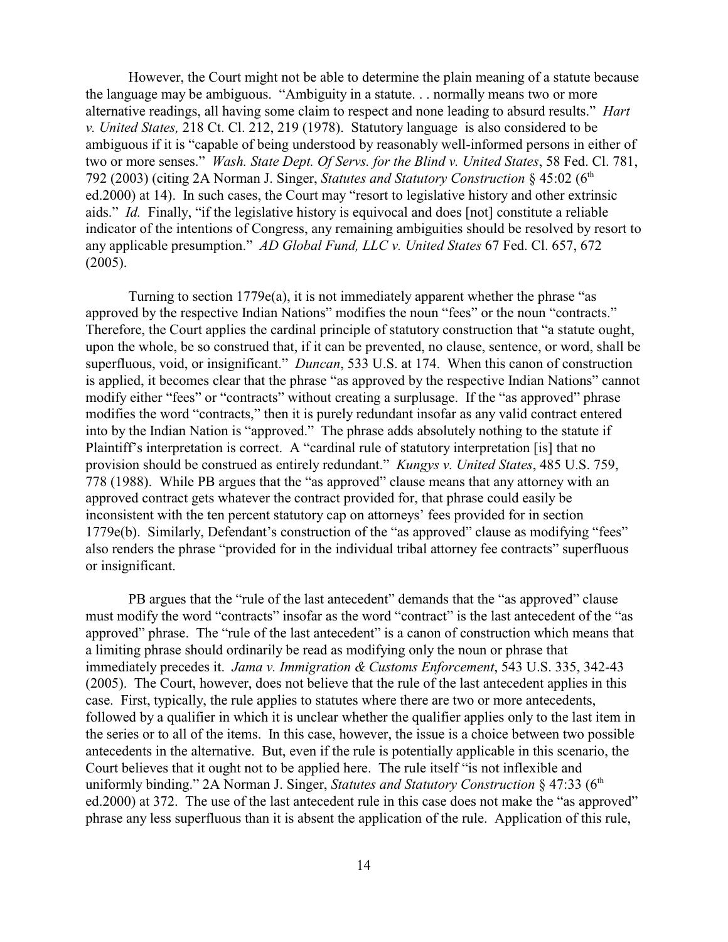However, the Court might not be able to determine the plain meaning of a statute because the language may be ambiguous. "Ambiguity in a statute. . . normally means two or more alternative readings, all having some claim to respect and none leading to absurd results." *Hart v. United States,* 218 Ct. Cl. 212, 219 (1978). Statutory language is also considered to be ambiguous if it is "capable of being understood by reasonably well-informed persons in either of two or more senses." *Wash. State Dept. Of Servs. for the Blind v. United States*, 58 Fed. Cl. 781, 792 (2003) (citing 2A Norman J. Singer, *Statutes and Statutory Construction* § 45:02 (6th ed.2000) at 14). In such cases, the Court may "resort to legislative history and other extrinsic aids." *Id.* Finally, "if the legislative history is equivocal and does [not] constitute a reliable indicator of the intentions of Congress, any remaining ambiguities should be resolved by resort to any applicable presumption." *AD Global Fund, LLC v. United States* 67 Fed. Cl. 657, 672 (2005).

Turning to section 1779e(a), it is not immediately apparent whether the phrase "as approved by the respective Indian Nations" modifies the noun "fees" or the noun "contracts." Therefore, the Court applies the cardinal principle of statutory construction that "a statute ought, upon the whole, be so construed that, if it can be prevented, no clause, sentence, or word, shall be superfluous, void, or insignificant." *Duncan*, 533 U.S. at 174. When this canon of construction is applied, it becomes clear that the phrase "as approved by the respective Indian Nations" cannot modify either "fees" or "contracts" without creating a surplusage. If the "as approved" phrase modifies the word "contracts," then it is purely redundant insofar as any valid contract entered into by the Indian Nation is "approved." The phrase adds absolutely nothing to the statute if Plaintiff's interpretation is correct. A "cardinal rule of statutory interpretation [is] that no provision should be construed as entirely redundant." *Kungys v. United States*, 485 U.S. 759, 778 (1988). While PB argues that the "as approved" clause means that any attorney with an approved contract gets whatever the contract provided for, that phrase could easily be inconsistent with the ten percent statutory cap on attorneys' fees provided for in section 1779e(b). Similarly, Defendant's construction of the "as approved" clause as modifying "fees" also renders the phrase "provided for in the individual tribal attorney fee contracts" superfluous or insignificant.

PB argues that the "rule of the last antecedent" demands that the "as approved" clause must modify the word "contracts" insofar as the word "contract" is the last antecedent of the "as approved" phrase. The "rule of the last antecedent" is a canon of construction which means that a limiting phrase should ordinarily be read as modifying only the noun or phrase that immediately precedes it. *Jama v. Immigration & Customs Enforcement*, 543 U.S. 335, 342-43 (2005). The Court, however, does not believe that the rule of the last antecedent applies in this case. First, typically, the rule applies to statutes where there are two or more antecedents, followed by a qualifier in which it is unclear whether the qualifier applies only to the last item in the series or to all of the items. In this case, however, the issue is a choice between two possible antecedents in the alternative. But, even if the rule is potentially applicable in this scenario, the Court believes that it ought not to be applied here. The rule itself "is not inflexible and uniformly binding." 2A Norman J. Singer, *Statutes and Statutory Construction* § 47:33 (6<sup>th</sup>) ed.2000) at 372. The use of the last antecedent rule in this case does not make the "as approved" phrase any less superfluous than it is absent the application of the rule. Application of this rule,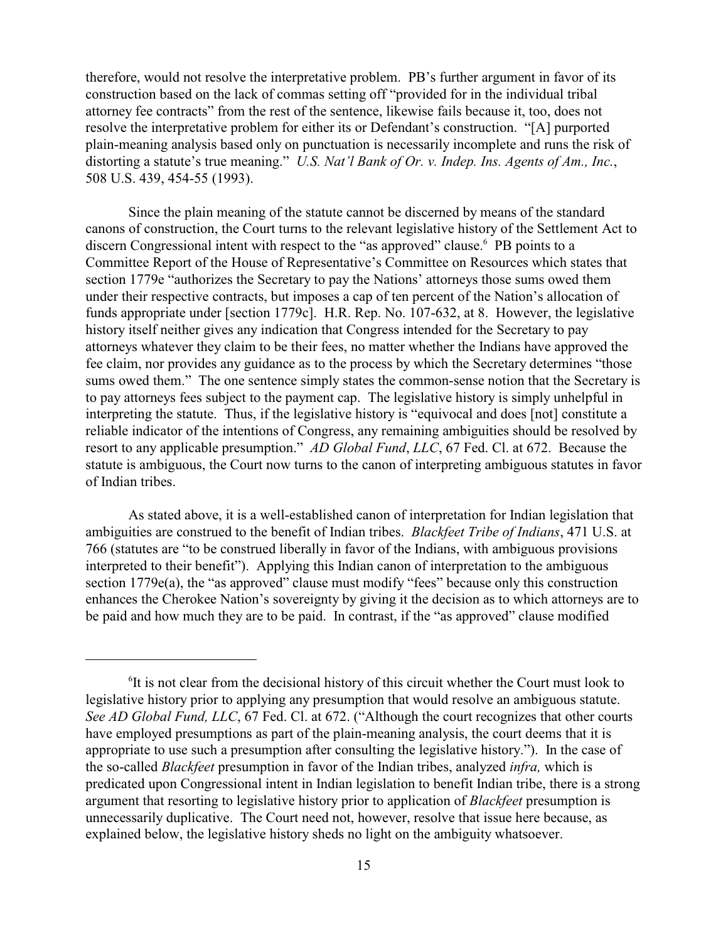therefore, would not resolve the interpretative problem. PB's further argument in favor of its construction based on the lack of commas setting off "provided for in the individual tribal attorney fee contracts" from the rest of the sentence, likewise fails because it, too, does not resolve the interpretative problem for either its or Defendant's construction. "[A] purported plain-meaning analysis based only on punctuation is necessarily incomplete and runs the risk of distorting a statute's true meaning." *U.S. Nat'l Bank of Or. v. Indep. Ins. Agents of Am., Inc.*, 508 U.S. 439, 454-55 (1993).

Since the plain meaning of the statute cannot be discerned by means of the standard canons of construction, the Court turns to the relevant legislative history of the Settlement Act to discern Congressional intent with respect to the "as approved" clause. PB points to a Committee Report of the House of Representative's Committee on Resources which states that section 1779e "authorizes the Secretary to pay the Nations' attorneys those sums owed them under their respective contracts, but imposes a cap of ten percent of the Nation's allocation of funds appropriate under [section 1779c]. H.R. Rep. No. 107-632, at 8. However, the legislative history itself neither gives any indication that Congress intended for the Secretary to pay attorneys whatever they claim to be their fees, no matter whether the Indians have approved the fee claim, nor provides any guidance as to the process by which the Secretary determines "those sums owed them." The one sentence simply states the common-sense notion that the Secretary is to pay attorneys fees subject to the payment cap. The legislative history is simply unhelpful in interpreting the statute. Thus, if the legislative history is "equivocal and does [not] constitute a reliable indicator of the intentions of Congress, any remaining ambiguities should be resolved by resort to any applicable presumption." *AD Global Fund*, *LLC*, 67 Fed. Cl. at 672. Because the statute is ambiguous, the Court now turns to the canon of interpreting ambiguous statutes in favor of Indian tribes.

As stated above, it is a well-established canon of interpretation for Indian legislation that ambiguities are construed to the benefit of Indian tribes. *Blackfeet Tribe of Indians*, 471 U.S. at 766 (statutes are "to be construed liberally in favor of the Indians, with ambiguous provisions interpreted to their benefit"). Applying this Indian canon of interpretation to the ambiguous section 1779e(a), the "as approved" clause must modify "fees" because only this construction enhances the Cherokee Nation's sovereignty by giving it the decision as to which attorneys are to be paid and how much they are to be paid. In contrast, if the "as approved" clause modified

 ${}^{6}$ It is not clear from the decisional history of this circuit whether the Court must look to legislative history prior to applying any presumption that would resolve an ambiguous statute. *See AD Global Fund, LLC*, 67 Fed. Cl. at 672. ("Although the court recognizes that other courts have employed presumptions as part of the plain-meaning analysis, the court deems that it is appropriate to use such a presumption after consulting the legislative history."). In the case of the so-called *Blackfeet* presumption in favor of the Indian tribes, analyzed *infra,* which is predicated upon Congressional intent in Indian legislation to benefit Indian tribe, there is a strong argument that resorting to legislative history prior to application of *Blackfeet* presumption is unnecessarily duplicative. The Court need not, however, resolve that issue here because, as explained below, the legislative history sheds no light on the ambiguity whatsoever.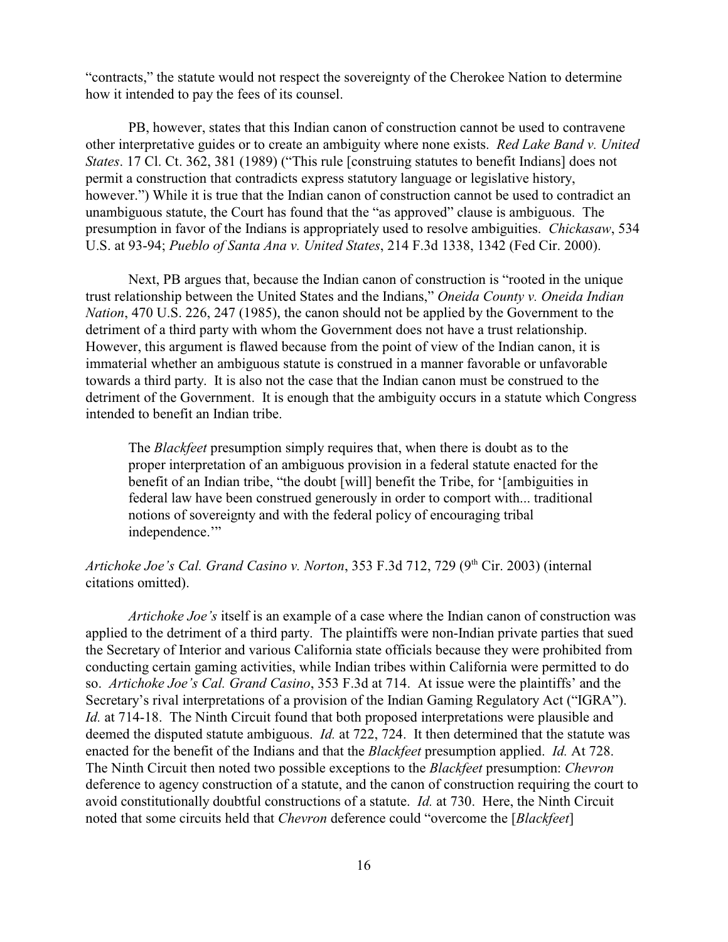"contracts," the statute would not respect the sovereignty of the Cherokee Nation to determine how it intended to pay the fees of its counsel.

PB, however, states that this Indian canon of construction cannot be used to contravene other interpretative guides or to create an ambiguity where none exists. *Red Lake Band v. United States*. 17 Cl. Ct. 362, 381 (1989) ("This rule [construing statutes to benefit Indians] does not permit a construction that contradicts express statutory language or legislative history, however.") While it is true that the Indian canon of construction cannot be used to contradict an unambiguous statute, the Court has found that the "as approved" clause is ambiguous. The presumption in favor of the Indians is appropriately used to resolve ambiguities. *Chickasaw*, 534 U.S. at 93-94; *Pueblo of Santa Ana v. United States*, 214 F.3d 1338, 1342 (Fed Cir. 2000).

Next, PB argues that, because the Indian canon of construction is "rooted in the unique trust relationship between the United States and the Indians," *Oneida County v. Oneida Indian Nation*, 470 U.S. 226, 247 (1985), the canon should not be applied by the Government to the detriment of a third party with whom the Government does not have a trust relationship. However, this argument is flawed because from the point of view of the Indian canon, it is immaterial whether an ambiguous statute is construed in a manner favorable or unfavorable towards a third party. It is also not the case that the Indian canon must be construed to the detriment of the Government. It is enough that the ambiguity occurs in a statute which Congress intended to benefit an Indian tribe.

The *Blackfeet* presumption simply requires that, when there is doubt as to the proper interpretation of an ambiguous provision in a federal statute enacted for the benefit of an Indian tribe, "the doubt [will] benefit the Tribe, for '[ambiguities in federal law have been construed generously in order to comport with... traditional notions of sovereignty and with the federal policy of encouraging tribal independence."

## Artichoke Joe's Cal. Grand Casino v. Norton, 353 F.3d 712, 729 (9<sup>th</sup> Cir. 2003) (internal citations omitted).

*Artichoke Joe's* itself is an example of a case where the Indian canon of construction was applied to the detriment of a third party. The plaintiffs were non-Indian private parties that sued the Secretary of Interior and various California state officials because they were prohibited from conducting certain gaming activities, while Indian tribes within California were permitted to do so. *Artichoke Joe's Cal. Grand Casino*, 353 F.3d at 714. At issue were the plaintiffs' and the Secretary's rival interpretations of a provision of the Indian Gaming Regulatory Act ("IGRA"). *Id.* at 714-18. The Ninth Circuit found that both proposed interpretations were plausible and deemed the disputed statute ambiguous. *Id.* at 722, 724. It then determined that the statute was enacted for the benefit of the Indians and that the *Blackfeet* presumption applied. *Id.* At 728. The Ninth Circuit then noted two possible exceptions to the *Blackfeet* presumption: *Chevron* deference to agency construction of a statute, and the canon of construction requiring the court to avoid constitutionally doubtful constructions of a statute. *Id.* at 730. Here, the Ninth Circuit noted that some circuits held that *Chevron* deference could "overcome the [*Blackfeet*]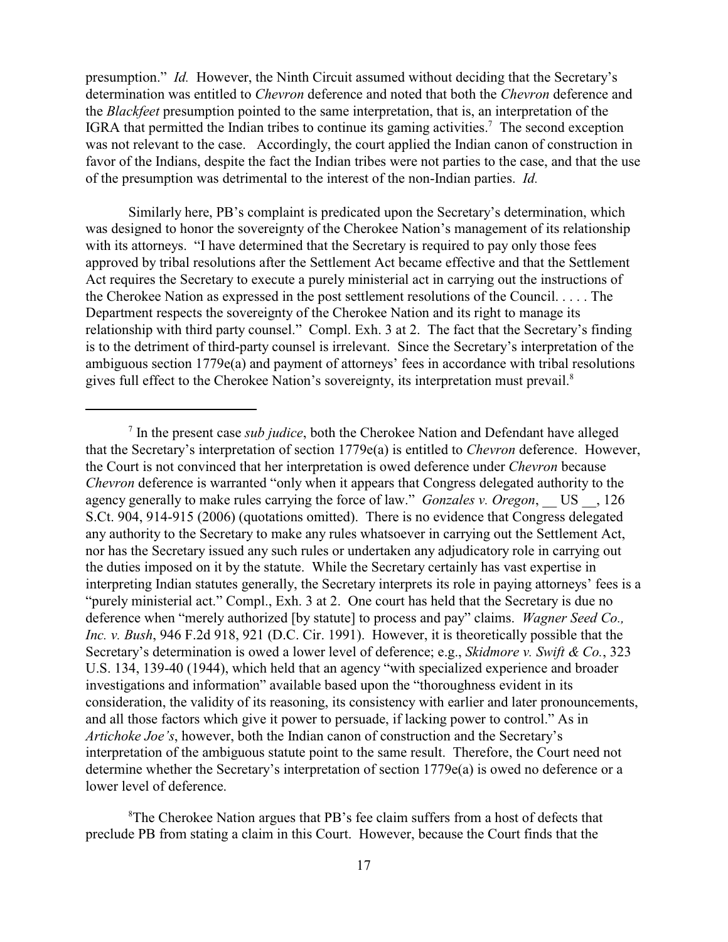presumption." *Id.* However, the Ninth Circuit assumed without deciding that the Secretary's determination was entitled to *Chevron* deference and noted that both the *Chevron* deference and the *Blackfeet* presumption pointed to the same interpretation, that is, an interpretation of the IGRA that permitted the Indian tribes to continue its gaming activities.<sup>7</sup> The second exception was not relevant to the case. Accordingly, the court applied the Indian canon of construction in favor of the Indians, despite the fact the Indian tribes were not parties to the case, and that the use of the presumption was detrimental to the interest of the non-Indian parties. *Id.* 

Similarly here, PB's complaint is predicated upon the Secretary's determination, which was designed to honor the sovereignty of the Cherokee Nation's management of its relationship with its attorneys. "I have determined that the Secretary is required to pay only those fees approved by tribal resolutions after the Settlement Act became effective and that the Settlement Act requires the Secretary to execute a purely ministerial act in carrying out the instructions of the Cherokee Nation as expressed in the post settlement resolutions of the Council. . . . . The Department respects the sovereignty of the Cherokee Nation and its right to manage its relationship with third party counsel." Compl. Exh. 3 at 2. The fact that the Secretary's finding is to the detriment of third-party counsel is irrelevant. Since the Secretary's interpretation of the ambiguous section 1779e(a) and payment of attorneys' fees in accordance with tribal resolutions gives full effect to the Cherokee Nation's sovereignty, its interpretation must prevail.8

In the present case *sub judice*, both the Cherokee Nation and Defendant have alleged <sup>7</sup> that the Secretary's interpretation of section 1779e(a) is entitled to *Chevron* deference. However, the Court is not convinced that her interpretation is owed deference under *Chevron* because *Chevron* deference is warranted "only when it appears that Congress delegated authority to the agency generally to make rules carrying the force of law." *Gonzales v. Oregon*, US . 126 S.Ct. 904, 914-915 (2006) (quotations omitted). There is no evidence that Congress delegated any authority to the Secretary to make any rules whatsoever in carrying out the Settlement Act, nor has the Secretary issued any such rules or undertaken any adjudicatory role in carrying out the duties imposed on it by the statute. While the Secretary certainly has vast expertise in interpreting Indian statutes generally, the Secretary interprets its role in paying attorneys' fees is a "purely ministerial act." Compl., Exh. 3 at 2. One court has held that the Secretary is due no deference when "merely authorized [by statute] to process and pay" claims. *Wagner Seed Co., Inc. v. Bush*, 946 F.2d 918, 921 (D.C. Cir. 1991). However, it is theoretically possible that the Secretary's determination is owed a lower level of deference; e.g., *Skidmore v. Swift & Co.*, 323 U.S. 134, 139-40 (1944), which held that an agency "with specialized experience and broader investigations and information" available based upon the "thoroughness evident in its consideration, the validity of its reasoning, its consistency with earlier and later pronouncements, and all those factors which give it power to persuade, if lacking power to control." As in *Artichoke Joe's*, however, both the Indian canon of construction and the Secretary's interpretation of the ambiguous statute point to the same result. Therefore, the Court need not determine whether the Secretary's interpretation of section 1779e(a) is owed no deference or a lower level of deference.

<sup>&</sup>lt;sup>8</sup>The Cherokee Nation argues that PB's fee claim suffers from a host of defects that preclude PB from stating a claim in this Court. However, because the Court finds that the